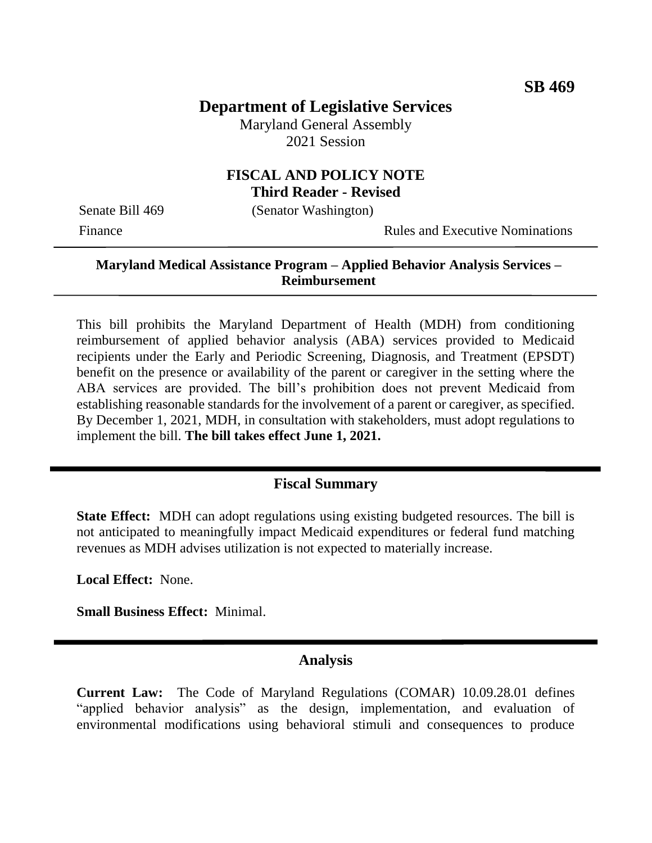# **Department of Legislative Services**

Maryland General Assembly 2021 Session

### **FISCAL AND POLICY NOTE Third Reader - Revised**

Senate Bill 469 (Senator Washington)

Finance **Rules and Executive Nominations** 

#### **Maryland Medical Assistance Program – Applied Behavior Analysis Services – Reimbursement**

This bill prohibits the Maryland Department of Health (MDH) from conditioning reimbursement of applied behavior analysis (ABA) services provided to Medicaid recipients under the Early and Periodic Screening, Diagnosis, and Treatment (EPSDT) benefit on the presence or availability of the parent or caregiver in the setting where the ABA services are provided. The bill's prohibition does not prevent Medicaid from establishing reasonable standards for the involvement of a parent or caregiver, as specified. By December 1, 2021, MDH, in consultation with stakeholders, must adopt regulations to implement the bill. **The bill takes effect June 1, 2021.**

## **Fiscal Summary**

**State Effect:** MDH can adopt regulations using existing budgeted resources. The bill is not anticipated to meaningfully impact Medicaid expenditures or federal fund matching revenues as MDH advises utilization is not expected to materially increase.

**Local Effect:** None.

**Small Business Effect:** Minimal.

### **Analysis**

**Current Law:** The Code of Maryland Regulations (COMAR) 10.09.28.01 defines "applied behavior analysis" as the design, implementation, and evaluation of environmental modifications using behavioral stimuli and consequences to produce